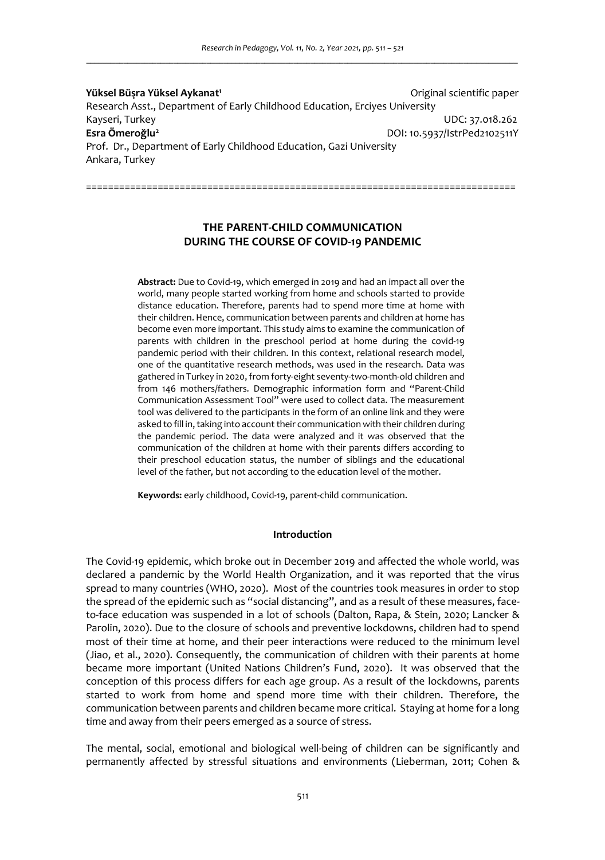**Yüksel Büşra Yüksel Aykanat<sup>1</sup>**Original scientific paper Research Asst., Department of Early Childhood Education, Erciyes University Kayseri, Turkey UDC: 37.018.262 **Esra Ömeroğlu<sup>2</sup>**DOI: 10.5937/IstrPed2102511Y Prof. Dr., Department of Early Childhood Education, Gazi University Ankara, Turkey

# **THE PARENT-CHILD COMMUNICATION DURING THE COURSE OF COVID-19 PANDEMIC**

==============================================================================

**Abstract:** Due to Covid-19, which emerged in 2019 and had an impact all over the world, many people started working from home and schools started to provide distance education. Therefore, parents had to spend more time at home with their children. Hence, communication between parents and children at home has become even more important. This study aims to examine the communication of parents with children in the preschool period at home during the covid-19 pandemic period with their children. In this context, relational research model, one of the quantitative research methods, was used in the research. Data was gathered in Turkey in 2020, from forty-eight seventy-two-month-old children and from 146 mothers/fathers. Demographic information form and "Parent-Child Communication Assessment Tool" were used to collect data. The measurement tool was delivered to the participants in the form of an online link and they were asked to fill in, taking into account their communication with their children during the pandemic period. The data were analyzed and it was observed that the communication of the children at home with their parents differs according to their preschool education status, the number of siblings and the educational level of the father, but not according to the education level of the mother.

**Keywords:** early childhood, Covid-19, parent-child communication.

### **Introduction**

The Covid-19 epidemic, which broke out in December 2019 and affected the whole world, was declared a pandemic by the World Health Organization, and it was reported that the virus spread to many countries (WHO, 2020). Most of the countries took measures in order to stop the spread of the epidemic such as "social distancing", and as a result of these measures, faceto-face education was suspended in a lot of schools (Dalton, Rapa, & Stein, 2020; Lancker & Parolin, 2020). Due to the closure of schools and preventive lockdowns, children had to spend most of their time at home, and their peer interactions were reduced to the minimum level (Jiao, et al., 2020). Consequently, the communication of children with their parents at home became more important (United Nations Children's Fund, 2020). It was observed that the conception of this process differs for each age group. As a result of the lockdowns, parents started to work from home and spend more time with their children. Therefore, the communication between parents and children became more critical. Staying at home for a long time and away from their peers emerged as a source of stress.

The mental, social, emotional and biological well-being of children can be significantly and permanently affected by stressful situations and environments (Lieberman, 2011; Cohen &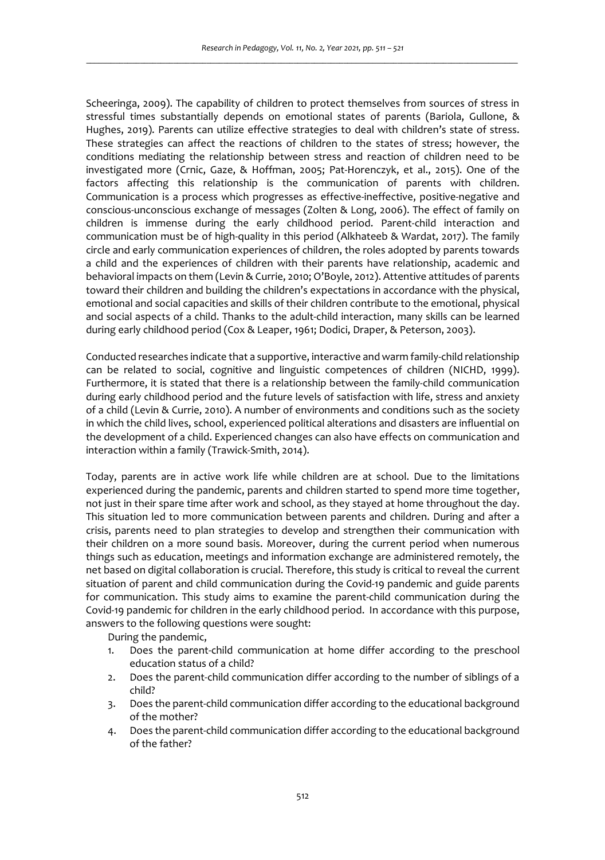Scheeringa, 2009). The capability of children to protect themselves from sources of stress in stressful times substantially depends on emotional states of parents (Bariola, Gullone, & Hughes, 2019). Parents can utilize effective strategies to deal with children's state of stress. These strategies can affect the reactions of children to the states of stress; however, the conditions mediating the relationship between stress and reaction of children need to be investigated more (Crnic, Gaze, & Hoffman, 2005; Pat-Horenczyk, et al., 2015). One of the factors affecting this relationship is the communication of parents with children. Communication is a process which progresses as effective-ineffective, positive-negative and conscious-unconscious exchange of messages (Zolten & Long, 2006). The effect of family on children is immense during the early childhood period. Parent-child interaction and communication must be of high-quality in this period (Alkhateeb & Wardat, 2017). The family circle and early communication experiences of children, the roles adopted by parents towards a child and the experiences of children with their parents have relationship, academic and behavioral impacts on them (Levin & Currie, 2010; O'Boyle, 2012). Attentive attitudes of parents toward their children and building the children's expectations in accordance with the physical, emotional and social capacities and skills of their children contribute to the emotional, physical and social aspects of a child. Thanks to the adult-child interaction, many skills can be learned during early childhood period (Cox & Leaper, 1961; Dodici, Draper, & Peterson, 2003).

Conducted researches indicate that a supportive, interactive and warm family-child relationship can be related to social, cognitive and linguistic competences of children (NICHD, 1999). Furthermore, it is stated that there is a relationship between the family-child communication during early childhood period and the future levels of satisfaction with life, stress and anxiety of a child (Levin & Currie, 2010). A number of environments and conditions such as the society in which the child lives, school, experienced political alterations and disasters are influential on the development of a child. Experienced changes can also have effects on communication and interaction within a family (Trawick-Smith, 2014).

Today, parents are in active work life while children are at school. Due to the limitations experienced during the pandemic, parents and children started to spend more time together, not just in their spare time after work and school, as they stayed at home throughout the day. This situation led to more communication between parents and children. During and after a crisis, parents need to plan strategies to develop and strengthen their communication with their children on a more sound basis. Moreover, during the current period when numerous things such as education, meetings and information exchange are administered remotely, the net based on digital collaboration is crucial. Therefore, this study is critical to reveal the current situation of parent and child communication during the Covid-19 pandemic and guide parents for communication. This study aims to examine the parent-child communication during the Covid-19 pandemic for children in the early childhood period. In accordance with this purpose, answers to the following questions were sought:

During the pandemic,

- 1. Does the parent-child communication at home differ according to the preschool education status of a child?
- 2. Does the parent-child communication differ according to the number of siblings of a child?
- 3. Does the parent-child communication differ according to the educational background of the mother?
- 4. Does the parent-child communication differ according to the educational background of the father?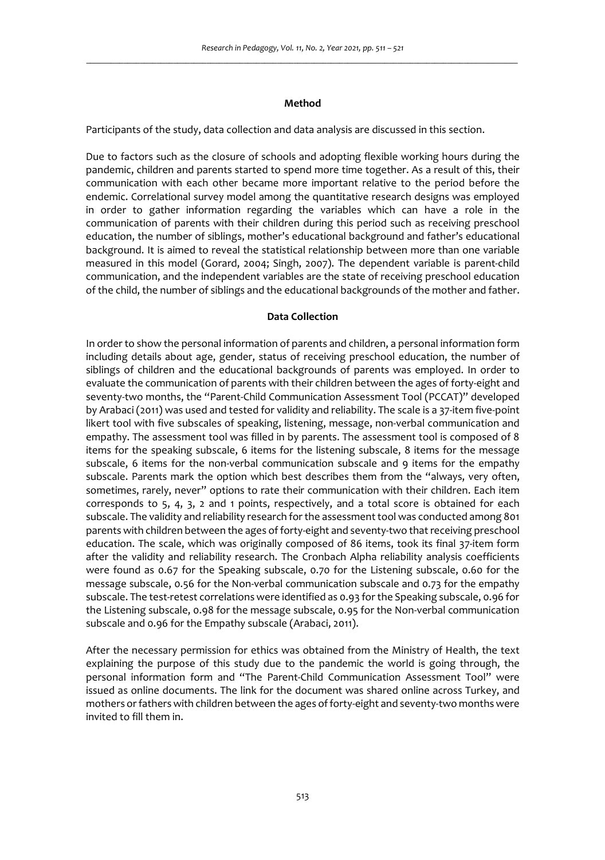### **Method**

Participants of the study, data collection and data analysis are discussed in this section.

Due to factors such as the closure of schools and adopting flexible working hours during the pandemic, children and parents started to spend more time together. As a result of this, their communication with each other became more important relative to the period before the endemic. Correlational survey model among the quantitative research designs was employed in order to gather information regarding the variables which can have a role in the communication of parents with their children during this period such as receiving preschool education, the number of siblings, mother's educational background and father's educational background. It is aimed to reveal the statistical relationship between more than one variable measured in this model (Gorard, 2004; Singh, 2007). The dependent variable is parent-child communication, and the independent variables are the state of receiving preschool education of the child, the number of siblings and the educational backgrounds of the mother and father.

# **Data Collection**

In order to show the personal information of parents and children, a personal information form including details about age, gender, status of receiving preschool education, the number of siblings of children and the educational backgrounds of parents was employed. In order to evaluate the communication of parents with their children between the ages of forty-eight and seventy-two months, the "Parent-Child Communication Assessment Tool (PCCAT)" developed by Arabaci (2011) was used and tested for validity and reliability. The scale is a 37-item five-point likert tool with five subscales of speaking, listening, message, non-verbal communication and empathy. The assessment tool was filled in by parents. The assessment tool is composed of 8 items for the speaking subscale, 6 items for the listening subscale, 8 items for the message subscale, 6 items for the non-verbal communication subscale and 9 items for the empathy subscale. Parents mark the option which best describes them from the "always, very often, sometimes, rarely, never" options to rate their communication with their children. Each item corresponds to 5, 4, 3, 2 and 1 points, respectively, and a total score is obtained for each subscale. The validity and reliability research for the assessment tool was conducted among 801 parents with children between the ages of forty-eight and seventy-two that receiving preschool education. The scale, which was originally composed of 86 items, took its final 37-item form after the validity and reliability research. The Cronbach Alpha reliability analysis coefficients were found as 0.67 for the Speaking subscale, 0.70 for the Listening subscale, 0.60 for the message subscale, 0.56 for the Non-verbal communication subscale and 0.73 for the empathy subscale. The test-retest correlations were identified as 0.93 for the Speaking subscale, 0.96 for the Listening subscale, 0.98 for the message subscale, 0.95 for the Non-verbal communication subscale and 0.96 for the Empathy subscale (Arabaci, 2011).

After the necessary permission for ethics was obtained from the Ministry of Health, the text explaining the purpose of this study due to the pandemic the world is going through, the personal information form and "The Parent-Child Communication Assessment Tool" were issued as online documents. The link for the document was shared online across Turkey, and mothers or fathers with children between the ages of forty-eight and seventy-two months were invited to fill them in.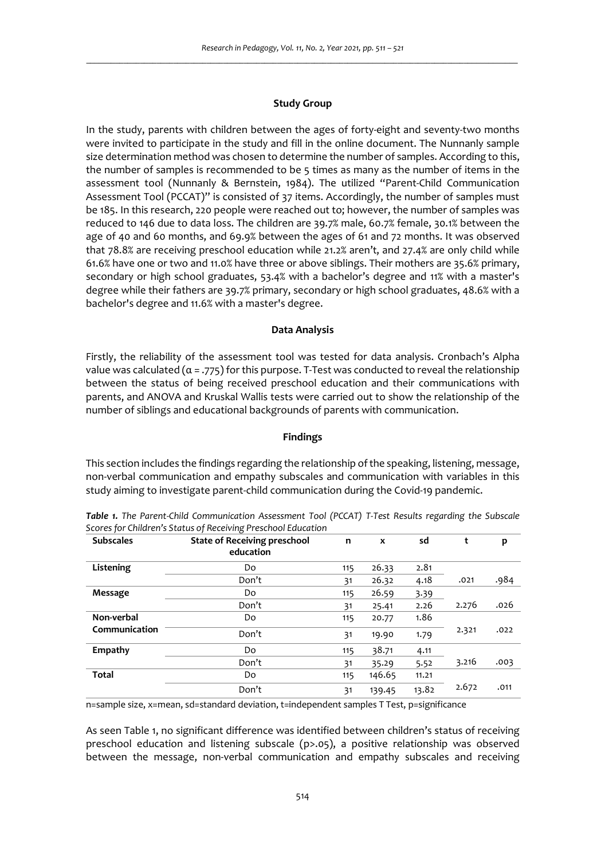### **Study Group**

In the study, parents with children between the ages of forty-eight and seventy-two months were invited to participate in the study and fill in the online document. The Nunnanly sample size determination method was chosen to determine the number of samples. According to this, the number of samples is recommended to be 5 times as many as the number of items in the assessment tool (Nunnanly & Bernstein, 1984). The utilized "Parent-Child Communication Assessment Tool (PCCAT)" is consisted of 37 items. Accordingly, the number of samples must be 185. In this research, 220 people were reached out to; however, the number of samples was reduced to 146 due to data loss. The children are 39.7% male, 60.7% female, 30.1% between the age of 40 and 60 months, and 69.9% between the ages of 61 and 72 months. It was observed that 78.8% are receiving preschool education while 21.2% aren't, and 27.4% are only child while 61.6% have one or two and 11.0% have three or above siblings. Their mothers are 35.6% primary, secondary or high school graduates, 53.4% with a bachelor's degree and 11% with a master's degree while their fathers are 39.7% primary, secondary or high school graduates, 48.6% with a bachelor's degree and 11.6% with a master's degree.

#### **Data Analysis**

Firstly, the reliability of the assessment tool was tested for data analysis. Cronbach's Alpha value was calculated  $(a = .775)$  for this purpose. T-Test was conducted to reveal the relationship between the status of being received preschool education and their communications with parents, and ANOVA and Kruskal Wallis tests were carried out to show the relationship of the number of siblings and educational backgrounds of parents with communication.

# **Findings**

This section includes the findings regarding the relationship of the speaking, listening, message, non-verbal communication and empathy subscales and communication with variables in this study aiming to investigate parent-child communication during the Covid-19 pandemic.

| <b>Subscales</b> | <b>State of Receiving preschool</b><br>education | n   | X      | sd    | t     | p    |
|------------------|--------------------------------------------------|-----|--------|-------|-------|------|
| Listening        | Do                                               | 115 | 26.33  | 2.81  |       |      |
|                  | Don't                                            | 31  | 26.32  | 4.18  | .021  | .984 |
| Message          | Do                                               | 115 | 26.59  | 3.39  |       |      |
|                  | Don't                                            | 31  | 25.41  | 2.26  | 2.276 | .026 |
| Non-verbal       | Do                                               | 115 | 20.77  | 1.86  |       |      |
| Communication    | Don't                                            | 31  | 19.90  | 1.79  | 2.321 | .022 |
| Empathy          | Do                                               | 115 | 38.71  | 4.11  |       |      |
|                  | Don't                                            | 31  | 35.29  | 5.52  | 3.216 | .003 |
| <b>Total</b>     | Do                                               | 115 | 146.65 | 11.21 |       |      |
|                  | Don't                                            | 31  | 139.45 | 13.82 | 2.672 | .011 |

*Table 1. The Parent-Child Communication Assessment Tool (PCCAT) T-Test Results regarding the Subscale Scores for Children's Status of Receiving Preschool Education* 

n=sample size, x=mean, sd=standard deviation, t=independent samples T Test, p=significance

As seen Table 1, no significant difference was identified between children's status of receiving preschool education and listening subscale (p>.05), a positive relationship was observed between the message, non-verbal communication and empathy subscales and receiving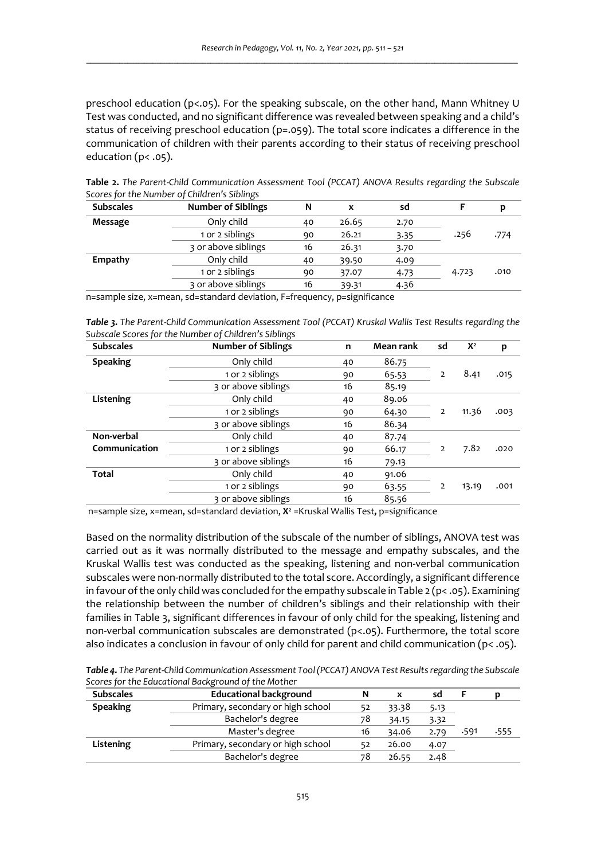preschool education (p<.05). For the speaking subscale, on the other hand, Mann Whitney U Test was conducted, and no significant difference was revealed between speaking and a child's status of receiving preschool education (p=.059). The total score indicates a difference in the communication of children with their parents according to their status of receiving preschool education (p< .05).

| <b>Subscales</b> | ້<br><b>Number of Siblings</b> | N  | x     | sd   |       | p    |
|------------------|--------------------------------|----|-------|------|-------|------|
| Message          | Only child                     | 40 | 26.65 | 2.70 |       |      |
|                  | 1 or 2 siblings                | 90 | 26.21 | 3.35 | .256  | .774 |
|                  | 3 or above siblings            | 16 | 26.31 | 3.70 |       |      |
| Empathy          | Only child                     | 40 | 39.50 | 4.09 |       |      |
|                  | 1 or 2 siblings                | 90 | 37.07 | 4.73 | 4.723 | .010 |
|                  | 3 or above siblings            | 16 | 39.31 | 4.36 |       |      |

**Table 2.** *The Parent-Child Communication Assessment Tool (PCCAT) ANOVA Results regarding the Subscale Scores for the Number of Children's Siblings* 

n=sample size, x=mean, sd=standard deviation, F=frequency, p=significance

*Table 3. The Parent-Child Communication Assessment Tool (PCCAT) Kruskal Wallis Test Results regarding the Subscale Scores for the Number of Children's Siblings* 

| <b>Subscales</b> | <b>Number of Siblings</b> | n  | Mean rank | sd | $X^2$ | p    |
|------------------|---------------------------|----|-----------|----|-------|------|
| <b>Speaking</b>  | Only child                | 40 | 86.75     |    |       |      |
|                  | 1 or 2 siblings           | 90 | 65.53     | 2  | 8.41  | .015 |
|                  | 3 or above siblings       | 16 | 85.19     |    |       |      |
| Listening        | Only child                | 40 | 89.06     |    |       |      |
|                  | 1 or 2 siblings           | 90 | 64.30     | 2  | 11.36 | .003 |
|                  | 3 or above siblings       | 16 | 86.34     |    |       |      |
| Non-verbal       | Only child                | 40 | 87.74     |    |       |      |
| Communication    | 1 or 2 siblings           | 90 | 66.17     | 2  | 7.82  | .020 |
|                  | 3 or above siblings       | 16 | 79.13     |    |       |      |
| <b>Total</b>     | Only child                | 40 | 91.06     |    |       |      |
|                  | 1 or 2 siblings           | 90 | 63.55     | 2  | 13.19 | .001 |
|                  | 3 or above siblings       | 16 | 85.56     |    |       |      |

n=sample size, x=mean, sd=standard deviation, X<sup>2</sup> =Kruskal Wallis Test, p=significance

Based on the normality distribution of the subscale of the number of siblings, ANOVA test was carried out as it was normally distributed to the message and empathy subscales, and the Kruskal Wallis test was conducted as the speaking, listening and non-verbal communication subscales were non-normally distributed to the total score. Accordingly, a significant difference in favour of the only child was concluded for the empathy subscale in Table  $2 (p < .05)$ . Examining the relationship between the number of children's siblings and their relationship with their families in Table 3, significant differences in favour of only child for the speaking, listening and non-verbal communication subscales are demonstrated (p<.05). Furthermore, the total score also indicates a conclusion in favour of only child for parent and child communication ( $p < .05$ ).

*Table 4. The Parent-Child Communication Assessment Tool (PCCAT) ANOVA Test Results regarding the Subscale Scores for the Educational Background of the Mother* 

| <b>Subscales</b> | <b>Educational background</b>     | N  |       | sd   |      |      |
|------------------|-----------------------------------|----|-------|------|------|------|
| <b>Speaking</b>  | Primary, secondary or high school |    | 33.38 | 5.13 |      |      |
|                  | Bachelor's degree                 | 78 | 34.15 | 3.32 |      |      |
|                  | Master's degree                   | 16 | 34.06 | 2.79 | .591 | .555 |
| Listening        | Primary, secondary or high school | 52 | 26.00 | 4.07 |      |      |
|                  | Bachelor's degree                 | 78 | 26.55 | 2.48 |      |      |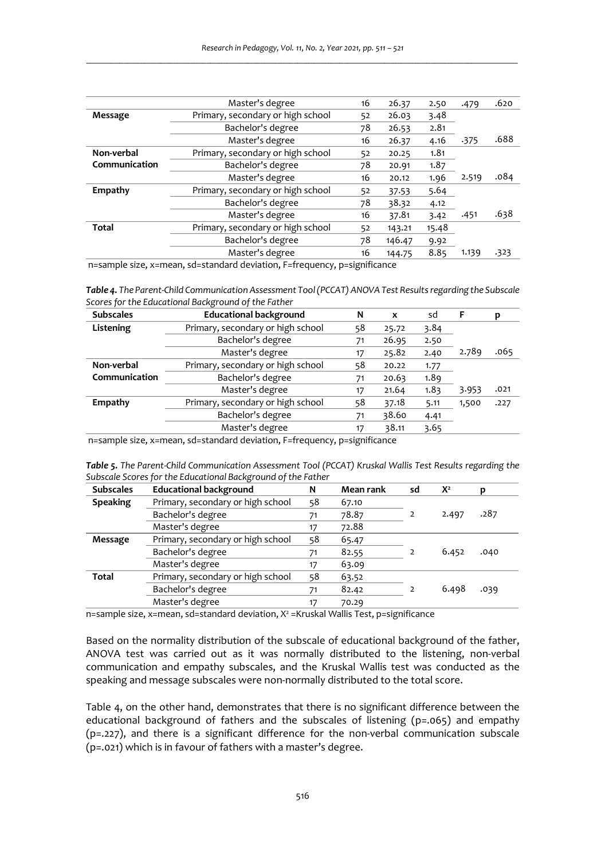|               | Master's degree                   | 16 | 26.37  | 2.50  | .479  | .620   |
|---------------|-----------------------------------|----|--------|-------|-------|--------|
| Message       | Primary, secondary or high school | 52 | 26.03  | 3.48  |       |        |
|               | Bachelor's degree                 | 78 | 26.53  | 2.81  |       |        |
|               | Master's degree                   | 16 | 26.37  | 4.16  | .375  | .688   |
| Non-verbal    | Primary, secondary or high school | 52 | 20.25  | 1.81  |       |        |
| Communication | Bachelor's degree                 | 78 | 20.91  | 1.87  |       |        |
|               | Master's degree                   | 16 | 20.12  | 1.96  | 2.519 | .084   |
| Empathy       | Primary, secondary or high school | 52 | 37.53  | 5.64  |       |        |
|               | Bachelor's degree                 | 78 | 38.32  | 4.12  |       |        |
|               | Master's degree                   | 16 | 37.81  | 3.42  | .451  | .638   |
| <b>Total</b>  | Primary, secondary or high school | 52 | 143.21 | 15.48 |       |        |
|               | Bachelor's degree                 | 78 | 146.47 | 9.92  |       |        |
|               | Master's degree                   | 16 | 144.75 | 8.85  | 1.139 | $-323$ |
|               |                                   |    |        |       |       |        |

n=sample size, x=mean, sd=standard deviation, F=frequency, p=significance

*Table 4. The Parent-Child Communication Assessment Tool (PCCAT) ANOVA Test Results regarding the Subscale Scores for the Educational Background of the Father* 

| <b>Subscales</b> | <b>Educational background</b>     | N  | X     | sd   | F     | D    |
|------------------|-----------------------------------|----|-------|------|-------|------|
| Listening        | Primary, secondary or high school | 58 | 25.72 | 3.84 |       |      |
|                  | Bachelor's degree                 | 71 | 26.95 | 2.50 |       |      |
|                  | Master's degree                   | 17 | 25.82 | 2.40 | 2.789 | .065 |
| Non-verbal       | Primary, secondary or high school | 58 | 20.22 | 1.77 |       |      |
| Communication    | Bachelor's degree                 | 71 | 20.63 | 1.89 |       |      |
|                  | Master's degree                   | 17 | 21.64 | 1.83 | 3.953 | .021 |
| Empathy          | Primary, secondary or high school | 58 | 37.18 | 5.11 | 1,500 | .227 |
|                  | Bachelor's degree                 | 71 | 38.60 | 4.41 |       |      |
|                  | Master's degree                   | 17 | 38.11 | 3.65 |       |      |

n=sample size, x=mean, sd=standard deviation, F=frequency, p=significance

|                                                              | Table 5. The Parent-Child Communication Assessment Tool (PCCAT) Kruskal Wallis Test Results regarding the |
|--------------------------------------------------------------|-----------------------------------------------------------------------------------------------------------|
| Subscale Scores for the Educational Background of the Father |                                                                                                           |

| <b>Subscales</b> | <b>Educational background</b>     | N  | Mean rank | sd | $X^2$ |      |
|------------------|-----------------------------------|----|-----------|----|-------|------|
| <b>Speaking</b>  | Primary, secondary or high school | 58 | 67.10     |    |       |      |
|                  | Bachelor's degree                 | 71 | 78.87     |    | 2.497 | .287 |
|                  | Master's degree                   | 17 | 72.88     |    |       |      |
| Message          | Primary, secondary or high school | 58 | 65.47     |    |       |      |
|                  | Bachelor's degree                 | 71 | 82.55     |    | 6.452 | .040 |
|                  | Master's degree                   | 17 | 63.09     |    |       |      |
| Total            | Primary, secondary or high school | 58 | 63.52     |    |       |      |
|                  | Bachelor's degree                 | 71 | 82.42     |    | 6.498 | .039 |
|                  | Master's degree                   | 17 | 70.29     |    |       |      |

n=sample size, x=mean, sd=standard deviation, X<sup>2</sup> =Kruskal Wallis Test, p=significance

Based on the normality distribution of the subscale of educational background of the father, ANOVA test was carried out as it was normally distributed to the listening, non-verbal communication and empathy subscales, and the Kruskal Wallis test was conducted as the speaking and message subscales were non-normally distributed to the total score.

Table 4, on the other hand, demonstrates that there is no significant difference between the educational background of fathers and the subscales of listening (p=.065) and empathy (p=.227), and there is a significant difference for the non-verbal communication subscale (p=.021) which is in favour of fathers with a master's degree.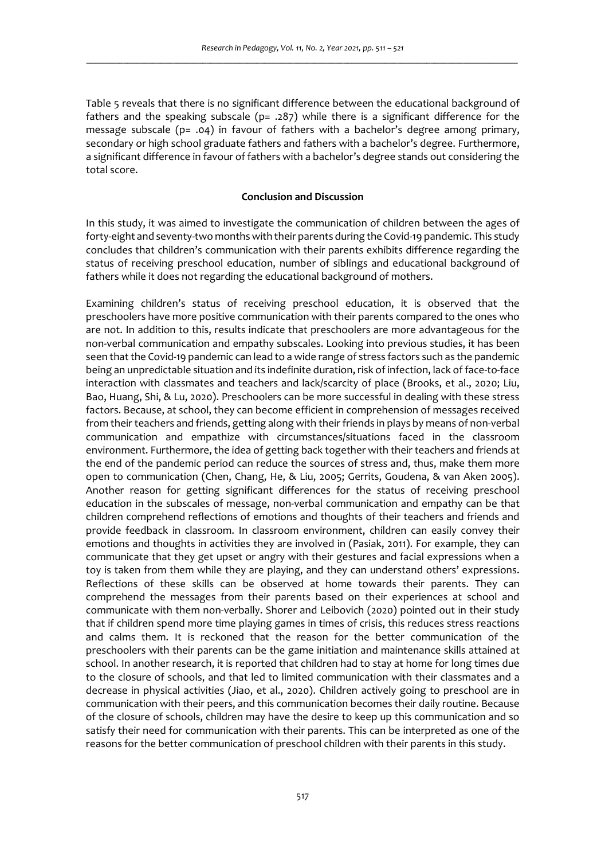Table 5 reveals that there is no significant difference between the educational background of fathers and the speaking subscale ( $p= .287$ ) while there is a significant difference for the message subscale ( $p = .04$ ) in favour of fathers with a bachelor's degree among primary, secondary or high school graduate fathers and fathers with a bachelor's degree. Furthermore, a significant difference in favour of fathers with a bachelor's degree stands out considering the total score.

## **Conclusion and Discussion**

In this study, it was aimed to investigate the communication of children between the ages of forty-eight and seventy-two months with their parents during the Covid-19 pandemic. This study concludes that children's communication with their parents exhibits difference regarding the status of receiving preschool education, number of siblings and educational background of fathers while it does not regarding the educational background of mothers.

Examining children's status of receiving preschool education, it is observed that the preschoolers have more positive communication with their parents compared to the ones who are not. In addition to this, results indicate that preschoolers are more advantageous for the non-verbal communication and empathy subscales. Looking into previous studies, it has been seen that the Covid-19 pandemic can lead to a wide range of stress factors such as the pandemic being an unpredictable situation and its indefinite duration, risk of infection, lack of face-to-face interaction with classmates and teachers and lack/scarcity of place (Brooks, et al., 2020; Liu, Bao, Huang, Shi, & Lu, 2020). Preschoolers can be more successful in dealing with these stress factors. Because, at school, they can become efficient in comprehension of messages received from their teachers and friends, getting along with their friends in plays by means of non-verbal communication and empathize with circumstances/situations faced in the classroom environment. Furthermore, the idea of getting back together with their teachers and friends at the end of the pandemic period can reduce the sources of stress and, thus, make them more open to communication (Chen, Chang, He, & Liu, 2005; Gerrits, Goudena, & van Aken 2005). Another reason for getting significant differences for the status of receiving preschool education in the subscales of message, non-verbal communication and empathy can be that children comprehend reflections of emotions and thoughts of their teachers and friends and provide feedback in classroom. In classroom environment, children can easily convey their emotions and thoughts in activities they are involved in (Pasiak, 2011). For example, they can communicate that they get upset or angry with their gestures and facial expressions when a toy is taken from them while they are playing, and they can understand others' expressions. Reflections of these skills can be observed at home towards their parents. They can comprehend the messages from their parents based on their experiences at school and communicate with them non-verbally. Shorer and Leibovich (2020) pointed out in their study that if children spend more time playing games in times of crisis, this reduces stress reactions and calms them. It is reckoned that the reason for the better communication of the preschoolers with their parents can be the game initiation and maintenance skills attained at school. In another research, it is reported that children had to stay at home for long times due to the closure of schools, and that led to limited communication with their classmates and a decrease in physical activities (Jiao, et al., 2020). Children actively going to preschool are in communication with their peers, and this communication becomes their daily routine. Because of the closure of schools, children may have the desire to keep up this communication and so satisfy their need for communication with their parents. This can be interpreted as one of the reasons for the better communication of preschool children with their parents in this study.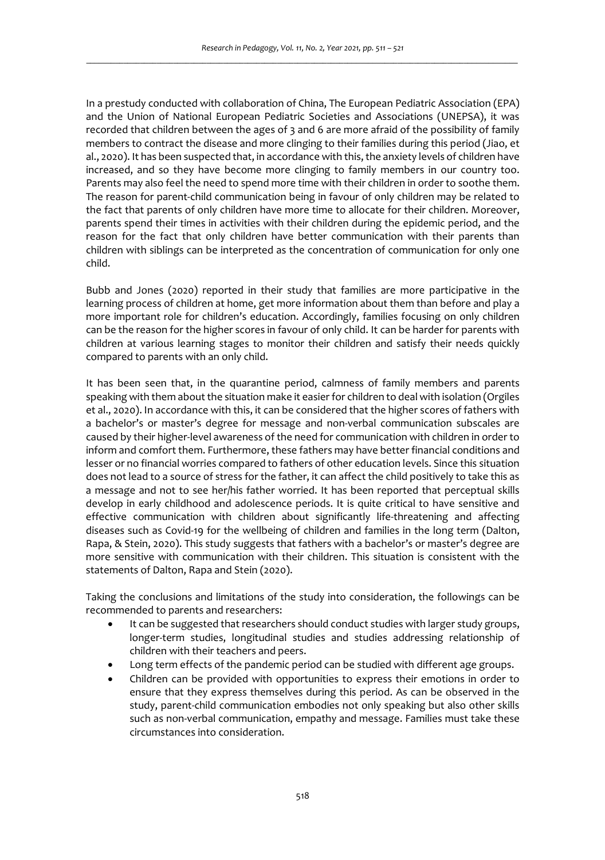In a prestudy conducted with collaboration of China, The European Pediatric Association (EPA) and the Union of National European Pediatric Societies and Associations (UNEPSA), it was recorded that children between the ages of 3 and 6 are more afraid of the possibility of family members to contract the disease and more clinging to their families during this period (Jiao, et al., 2020). It has been suspected that, in accordance with this, the anxiety levels of children have increased, and so they have become more clinging to family members in our country too. Parents may also feel the need to spend more time with their children in order to soothe them. The reason for parent-child communication being in favour of only children may be related to the fact that parents of only children have more time to allocate for their children. Moreover, parents spend their times in activities with their children during the epidemic period, and the reason for the fact that only children have better communication with their parents than children with siblings can be interpreted as the concentration of communication for only one child.

Bubb and Jones (2020) reported in their study that families are more participative in the learning process of children at home, get more information about them than before and play a more important role for children's education. Accordingly, families focusing on only children can be the reason for the higher scores in favour of only child. It can be harder for parents with children at various learning stages to monitor their children and satisfy their needs quickly compared to parents with an only child.

It has been seen that, in the quarantine period, calmness of family members and parents speaking with them about the situation make it easier for children to deal with isolation (Orgiles et al., 2020). In accordance with this, it can be considered that the higher scores of fathers with a bachelor's or master's degree for message and non-verbal communication subscales are caused by their higher-level awareness of the need for communication with children in order to inform and comfort them. Furthermore, these fathers may have better financial conditions and lesser or no financial worries compared to fathers of other education levels. Since this situation does not lead to a source of stress for the father, it can affect the child positively to take this as a message and not to see her/his father worried. It has been reported that perceptual skills develop in early childhood and adolescence periods. It is quite critical to have sensitive and effective communication with children about significantly life-threatening and affecting diseases such as Covid-19 for the wellbeing of children and families in the long term (Dalton, Rapa, & Stein, 2020). This study suggests that fathers with a bachelor's or master's degree are more sensitive with communication with their children. This situation is consistent with the statements of Dalton, Rapa and Stein (2020).

Taking the conclusions and limitations of the study into consideration, the followings can be recommended to parents and researchers:

- It can be suggested that researchers should conduct studies with larger study groups, longer-term studies, longitudinal studies and studies addressing relationship of children with their teachers and peers.
- Long term effects of the pandemic period can be studied with different age groups.
- Children can be provided with opportunities to express their emotions in order to ensure that they express themselves during this period. As can be observed in the study, parent-child communication embodies not only speaking but also other skills such as non-verbal communication, empathy and message. Families must take these circumstances into consideration.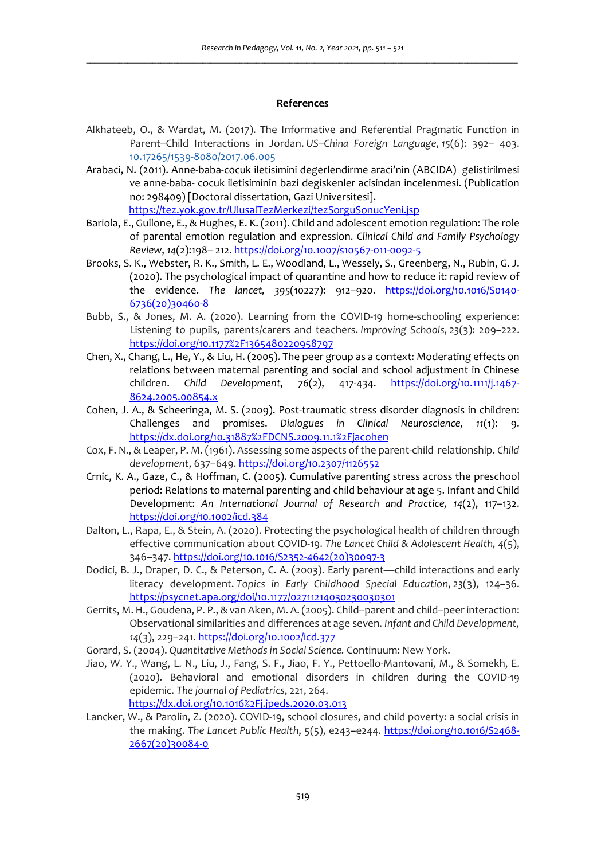#### **References**

- Alkhateeb, O., & Wardat, M. (2017). The Informative and Referential Pragmatic Function in Parent–Child Interactions in Jordan. *US–China Foreign Language*, *15*(6): 392– 403. 10.17265/1539-8080/2017.06.005
- Arabaci, N. (2011). Anne-baba-cocuk iletisimini degerlendirme araci'nin (ABCIDA) gelistirilmesi ve anne-baba- cocuk iletisiminin bazi degiskenler acisindan incelenmesi. (Publication no: 298409) [Doctoral dissertation, Gazi Universitesi].

https://tez.yok.gov.tr/UlusalTezMerkezi/tezSorguSonucYeni.jsp

- Bariola, E., Gullone, E., & Hughes, E. K. (2011). Child and adolescent emotion regulation: The role of parental emotion regulation and expression. *Clinical Child and Family Psychology Review*, *14*(2):198– 212. https://doi.org/10.1007/s10567-011-0092-5
- Brooks, S. K., Webster, R. K., Smith, L. E., Woodland, L., Wessely, S., Greenberg, N., Rubin, G. J. (2020). The psychological impact of quarantine and how to reduce it: rapid review of the evidence. *The lancet, 395*(10227): 912–920. https://doi.org/10.1016/S0140- 6736(20)30460-8
- Bubb, S., & Jones, M. A. (2020). Learning from the COVID-19 home-schooling experience: Listening to pupils, parents/carers and teachers. *Improving Schools*, *23*(3): 209–222. https://doi.org/10.1177%2F1365480220958797
- Chen, X., Chang, L., He, Y., & Liu, H. (2005). The peer group as a context: Moderating effects on relations between maternal parenting and social and school adjustment in Chinese children. *Child Development, 76*(2), 417-434. https://doi.org/10.1111/j.1467- 8624.2005.00854.x
- Cohen, J. A., & Scheeringa, M. S. (2009). Post-traumatic stress disorder diagnosis in children: Challenges and promises. *Dialogues in Clinical Neuroscience, 11*(1): 9. https://dx.doi.org/10.31887%2FDCNS.2009.11.1%2Fjacohen
- Cox, F. N., & Leaper, P. M. (1961). Assessing some aspects of the parent-child relationship. *Child development*, 637–649. https://doi.org/10.2307/1126552
- Crnic, K. A., Gaze, C., & Hoffman, C. (2005). Cumulative parenting stress across the preschool period: Relations to maternal parenting and child behaviour at age 5. Infant and Child Development: *An International Journal of Research and Practice, 14*(2), 117–132. https://doi.org/10.1002/icd.384
- Dalton, L., Rapa, E., & Stein, A. (2020). Protecting the psychological health of children through effective communication about COVID-19. *The Lancet Child & Adolescent Health, 4*(5), 346–347. https://doi.org/10.1016/S2352-4642(20)30097-3
- Dodici, B. J., Draper, D. C., & Peterson, C. A. (2003). Early parent—child interactions and early literacy development. *Topics in Early Childhood Special Education*, *23*(3), 124–36. https://psycnet.apa.org/doi/10.1177/02711214030230030301
- Gerrits, M. H., Goudena, P. P., & van Aken, M. A. (2005). Child–parent and child–peer interaction: Observational similarities and differences at age seven. *Infant and Child Development, 14*(3), 229–241. https://doi.org/10.1002/icd.377
- Gorard, S. (2004). *Quantitative Methods in Social Science.* Continuum: New York.
- Jiao, W. Y., Wang, L. N., Liu, J., Fang, S. F., Jiao, F. Y., Pettoello-Mantovani, M., & Somekh, E. (2020). Behavioral and emotional disorders in children during the COVID-19 epidemic. *The journal of Pediatrics*, 221, 264. https://dx.doi.org/10.1016%2Fj.jpeds.2020.03.013
- Lancker, W., & Parolin, Z. (2020). COVID-19, school closures, and child poverty: a social crisis in the making. *The Lancet Public Health*, 5(5), e243–e244. https://doi.org/10.1016/S2468- 2667(20)30084-0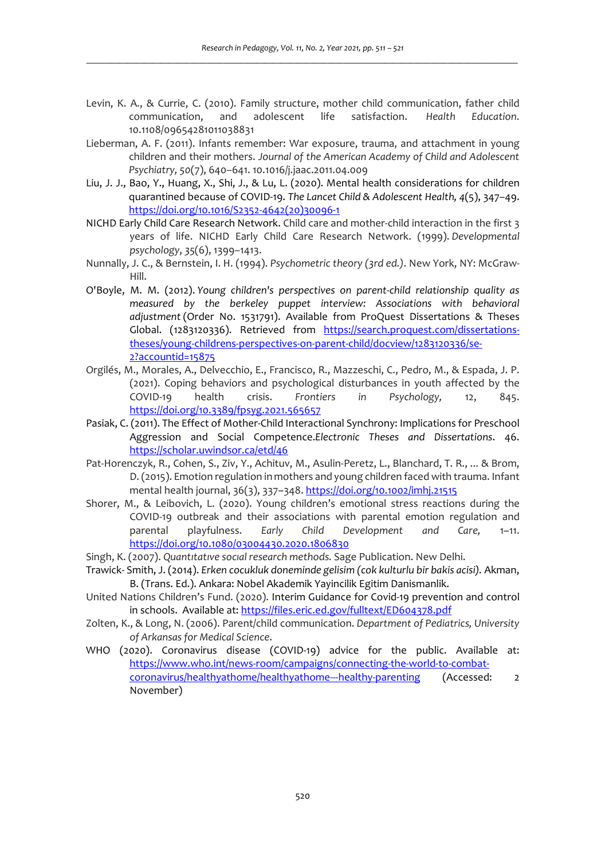- Levin, K. A., & Currie, C. (2010). Family structure, mother child communication, father child communication, and adolescent life satisfaction. *Health Education*. 10.1108/09654281011038831
- Lieberman, A. F. (2011). Infants remember: War exposure, trauma, and attachment in young children and their mothers. *Journal of the American Academy of Child and Adolescent Psychiatry, 50*(7), 640–641. 10.1016/j.jaac.2011.04.009
- Liu, J. J., Bao, Y., Huang, X., Shi, J., & Lu, L. (2020). Mental health considerations for children quarantined because of COVID-19. *The Lancet Child & Adolescent Health, 4*(5), 347–49. https://doi.org/10.1016/S2352-4642(20)30096-1
- NICHD Early Child Care Research Network. Child care and mother-child interaction in the first 3 years of life. NICHD Early Child Care Research Network. (1999). *Developmental psychology*, *35*(6), 1399–1413.
- Nunnally, J. C., & Bernstein, I. H. (1994). *Psychometric theory (3rd ed.)*. New York, NY: McGraw-Hill.
- O'Boyle, M. M. (2012). *Young children's perspectives on parent-child relationship quality as measured by the berkeley puppet interview: Associations with behavioral adjustment* (Order No. 1531791). Available from ProQuest Dissertations & Theses Global. (1283120336). Retrieved from https://search.proquest.com/dissertationstheses/young-childrens-perspectives-on-parent-child/docview/1283120336/se-2?accountid=15875
- Orgilés, M., Morales, A., Delvecchio, E., Francisco, R., Mazzeschi, C., Pedro, M., & Espada, J. P. (2021). Coping behaviors and psychological disturbances in youth affected by the COVID-19 health crisis. *Frontiers in Psychology,* 12, 845. https://doi.org/10.3389/fpsyg.2021.565657
- Pasiak, C. (2011). The Effect of Mother-Child Interactional Synchrony: Implications for Preschool Aggression and Social Competence.*Electronic Theses and Dissertations*. 46. https://scholar.uwindsor.ca/etd/46
- Pat-Horenczyk, R., Cohen, S., Ziv, Y., Achituv, M., Asulin-Peretz, L., Blanchard, T. R., ... & Brom, D. (2015). Emotion regulation in mothers and young children faced with trauma. Infant mental health journal, 36(3), 337-348. https://doi.org/10.1002/imhj.21515
- Shorer, M., & Leibovich, L. (2020). Young children's emotional stress reactions during the COVID-19 outbreak and their associations with parental emotion regulation and parental playfulness. *Early Child Development and Care,* 1–11. https://doi.org/10.1080/03004430.2020.1806830
- Singh, K. (2007). *Quantıtatıve socıal research methods.* Sage Publication. New Delhi.
- Trawick- Smith, J. (2014). *Erken cocukluk doneminde gelisim (cok kulturlu bir bakis acisi).* Akman, B. (Trans. Ed.). Ankara: Nobel Akademik Yayincilik Egitim Danismanlik.
- United Nations Children's Fund. (2020). Interim Guidance for Covid-19 prevention and control in schools. Available at: https://files.eric.ed.gov/fulltext/ED604378.pdf
- Zolten, K., & Long, N. (2006). Parent/child communication. *Department of Pediatrics, University of Arkansas for Medical Science*.
- WHO (2020). Coronavirus disease (COVID-19) advice for the public. Available at: https://www.who.int/news-room/campaigns/connecting-the-world-to-combatcoronavirus/healthyathome/healthyathome---healthy-parenting (Accessed: 2 November)